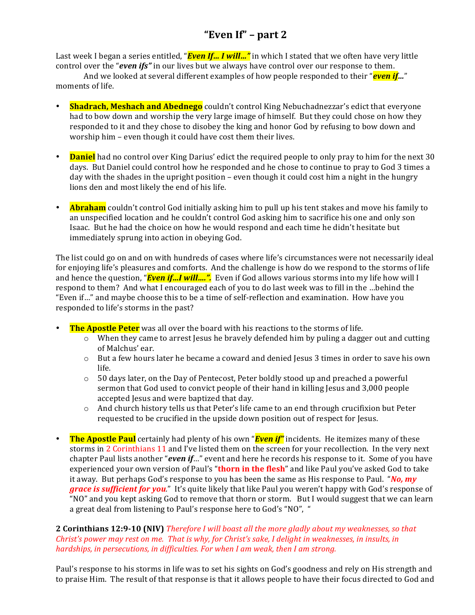# **"Even If" – part 2**

Last week I began a series entitled, "*Even If... I will..."* in which I stated that we often have very little control over the "*even* ifs" in our lives but we always have control over our response to them.

And we looked at several different examples of how people responded to their "**even if**…" moments of life.

- **Shadrach, Meshach and Abednego** couldn't control King Nebuchadnezzar's edict that everyone had to bow down and worship the very large image of himself. But they could chose on how they responded to it and they chose to disobey the king and honor God by refusing to bow down and worship him - even though it could have cost them their lives.
- **Daniel** had no control over King Darius' edict the required people to only pray to him for the next 30 days. But Daniel could control how he responded and he chose to continue to pray to God 3 times a day with the shades in the upright position – even though it could cost him a night in the hungry lions den and most likely the end of his life.
- **Abraham** couldn't control God initially asking him to pull up his tent stakes and move his family to an unspecified location and he couldn't control God asking him to sacrifice his one and only son Isaac. But he had the choice on how he would respond and each time he didn't hesitate but immediately sprung into action in obeying God.

The list could go on and on with hundreds of cases where life's circumstances were not necessarily ideal for enjoying life's pleasures and comforts. And the challenge is how do we respond to the storms of life and hence the question, "*Even if...I will...."*. Even if God allows various storms into my life how will I respond to them? And what I encouraged each of you to do last week was to fill in the ... behind the "Even if..." and maybe choose this to be a time of self-reflection and examination. How have you responded to life's storms in the past?

- **The Apostle Peter** was all over the board with his reactions to the storms of life.
	- $\circ$  When they came to arrest Jesus he bravely defended him by puling a dagger out and cutting of Malchus' ear.
	- o But a few hours later he became a coward and denied Jesus 3 times in order to save his own life.
	- $\circ$  50 days later, on the Day of Pentecost, Peter boldly stood up and preached a powerful sermon that God used to convict people of their hand in killing Jesus and 3,000 people accepted Jesus and were baptized that day.
	- $\circ$  And church history tells us that Peter's life came to an end through crucifixion but Peter requested to be crucified in the upside down position out of respect for Jesus.
- The Apostle Paul certainly had plenty of his own "*Even if"* incidents. He itemizes many of these storms in 2 Corinthians 11 and I've listed them on the screen for your recollection. In the very next chapter Paul lists another "*even* if..." event and here he records his response to it. Some of you have experienced your own version of Paul's "**thorn in the flesh**" and like Paul you've asked God to take it away. But perhaps God's response to you has been the same as His response to Paul. "No, my *grace is sufficient for you.*" It's quite likely that like Paul you weren't happy with God's response of "NO" and you kept asking God to remove that thorn or storm. But I would suggest that we can learn a great deal from listening to Paul's response here to God's "NO", "

## **2 Corinthians 12:9-10 (NIV)** *Therefore I will boast all the more gladly about my weaknesses, so that Christ's* power may rest on me. That is why, for *Christ's* sake, I delight in weaknesses, in insults, in *hardships, in persecutions, in difficulties. For when I am weak, then I am strong.*

Paul's response to his storms in life was to set his sights on God's goodness and rely on His strength and to praise Him. The result of that response is that it allows people to have their focus directed to God and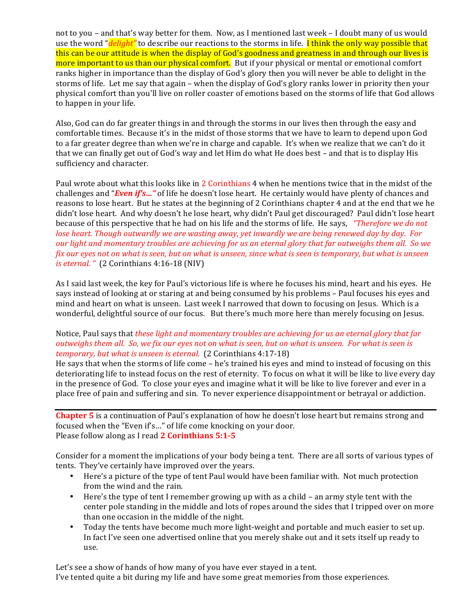not to you – and that's way better for them. Now, as I mentioned last week – I doubt many of us would use the word "*delight"* to describe our reactions to the storms in life. **I think the only way possible that** this can be our attitude is when the display of God's goodness and greatness in and through our lives is more important to us than our physical comfort. But if your physical or mental or emotional comfort ranks higher in importance than the display of God's glory then you will never be able to delight in the storms of life. Let me say that again – when the display of God's glory ranks lower in priority then your physical comfort than you'll live on roller coaster of emotions based on the storms of life that God allows to happen in your life.

Also, God can do far greater things in and through the storms in our lives then through the easy and comfortable times. Because it's in the midst of those storms that we have to learn to depend upon God to a far greater degree than when we're in charge and capable. It's when we realize that we can't do it that we can finally get out of God's way and let Him do what He does best - and that is to display His sufficiency and character.

Paul wrote about what this looks like in 2 Corinthians 4 when he mentions twice that in the midst of the challenges and "*Even* if's..." of life he doesn't lose heart. He certainly would have plenty of chances and reasons to lose heart. But he states at the beginning of 2 Corinthians chapter 4 and at the end that we he didn't lose heart. And why doesn't he lose heart, why didn't Paul get discouraged? Paul didn't lose heart because of this perspective that he had on his life and the storms of life. He says, *"Therefore we do not lose heart.* Though outwardly we are wasting away, yet inwardly we are being renewed day by day. For *our light and momentary troubles are achieving for us an eternal glory that far outweighs them all.* So we *fix* our eyes not on what is seen, but on what is unseen, since what is seen is temporary, but what is unseen *is eternal.* " (2 Corinthians 4:16-18 (NIV)

As I said last week, the key for Paul's victorious life is where he focuses his mind, heart and his eyes. He says instead of looking at or staring at and being consumed by his problems – Paul focuses his eyes and mind and heart on what is unseen. Last week I narrowed that down to focusing on Jesus. Which is a wonderful, delightful source of our focus. But there's much more here than merely focusing on Jesus.

### Notice, Paul says that *these light and momentary troubles are achieving for us an eternal glory that far outweighs them all. So, we fix our eyes not on what is seen, but on what is unseen. For what is seen is temporary, but what is unseen is eternal.* (2 Corinthians 4:17-18)

He says that when the storms of life come – he's trained his eyes and mind to instead of focusing on this deteriorating life to instead focus on the rest of eternity. To focus on what it will be like to live every day in the presence of God. To close your eyes and imagine what it will be like to live forever and ever in a place free of pain and suffering and sin. To never experience disappointment or betrayal or addiction.

**Chapter 5** is a continuation of Paul's explanation of how he doesn't lose heart but remains strong and focused when the "Even if's..." of life come knocking on your door. Please follow along as I read 2 Corinthians 5:1-5

Consider for a moment the implications of your body being a tent. There are all sorts of various types of tents. They've certainly have improved over the years.

- Here's a picture of the type of tent Paul would have been familiar with. Not much protection from the wind and the rain.
- Here's the type of tent I remember growing up with as a child an army style tent with the center pole standing in the middle and lots of ropes around the sides that I tripped over on more than one occasion in the middle of the night.
- Today the tents have become much more light-weight and portable and much easier to set up. In fact I've seen one advertised online that you merely shake out and it sets itself up ready to use.

Let's see a show of hands of how many of you have ever stayed in a tent. I've tented quite a bit during my life and have some great memories from those experiences.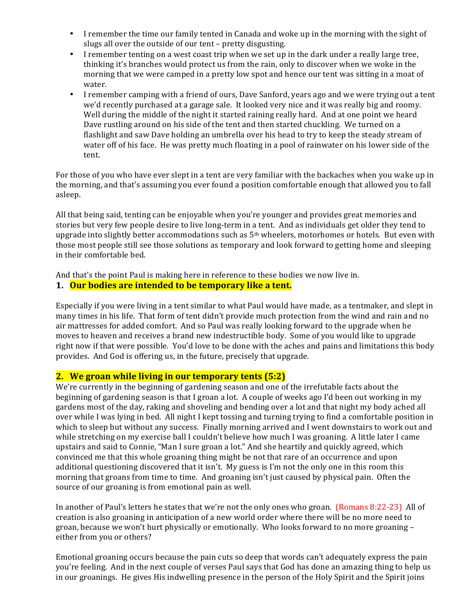- I remember the time our family tented in Canada and woke up in the morning with the sight of slugs all over the outside of our tent - pretty disgusting.
- I remember tenting on a west coast trip when we set up in the dark under a really large tree, thinking it's branches would protect us from the rain, only to discover when we woke in the morning that we were camped in a pretty low spot and hence our tent was sitting in a moat of water.
- I remember camping with a friend of ours, Dave Sanford, years ago and we were trying out a tent we'd recently purchased at a garage sale. It looked very nice and it was really big and roomy. Well during the middle of the night it started raining really hard. And at one point we heard Dave rustling around on his side of the tent and then started chuckling. We turned on a flashlight and saw Dave holding an umbrella over his head to try to keep the steady stream of water off of his face. He was pretty much floating in a pool of rainwater on his lower side of the tent.

For those of you who have ever slept in a tent are very familiar with the backaches when you wake up in the morning, and that's assuming you ever found a position comfortable enough that allowed you to fall asleep. 

All that being said, tenting can be enjoyable when you're younger and provides great memories and stories but very few people desire to live long-term in a tent. And as individuals get older they tend to upgrade into slightly better accommodations such as 5<sup>th</sup> wheelers, motorhomes or hotels. But even with those most people still see those solutions as temporary and look forward to getting home and sleeping in their comfortable bed.

And that's the point Paul is making here in reference to these bodies we now live in.

## **1.** Our bodies are intended to be temporary like a tent.

Especially if you were living in a tent similar to what Paul would have made, as a tentmaker, and slept in many times in his life. That form of tent didn't provide much protection from the wind and rain and no air mattresses for added comfort. And so Paul was really looking forward to the upgrade when he moves to heaven and receives a brand new indestructible body. Some of you would like to upgrade right now if that were possible. You'd love to be done with the aches and pains and limitations this body provides. And God is offering us, in the future, precisely that upgrade.

## **2.** We groan while living in our temporary tents (5:2)

We're currently in the beginning of gardening season and one of the irrefutable facts about the beginning of gardening season is that I groan a lot. A couple of weeks ago I'd been out working in my gardens most of the day, raking and shoveling and bending over a lot and that night my body ached all over while I was lying in bed. All night I kept tossing and turning trying to find a comfortable position in which to sleep but without any success. Finally morning arrived and I went downstairs to work out and while stretching on my exercise ball I couldn't believe how much I was groaning. A little later I came upstairs and said to Connie, "Man I sure groan a lot." And she heartily and quickly agreed, which convinced me that this whole groaning thing might be not that rare of an occurrence and upon additional questioning discovered that it isn't. My guess is I'm not the only one in this room this morning that groans from time to time. And groaning isn't just caused by physical pain. Often the source of our groaning is from emotional pain as well.

In another of Paul's letters he states that we're not the only ones who groan. (Romans 8:22-23) All of creation is also groaning in anticipation of a new world order where there will be no more need to groan, because we won't hurt physically or emotionally. Who looks forward to no more groaning  $$ either from you or others?

Emotional groaning occurs because the pain cuts so deep that words can't adequately express the pain you're feeling. And in the next couple of verses Paul says that God has done an amazing thing to help us in our groanings. He gives His indwelling presence in the person of the Holy Spirit and the Spirit joins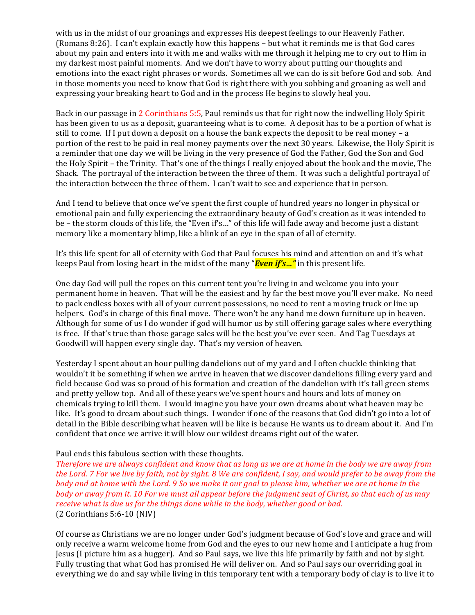with us in the midst of our groanings and expresses His deepest feelings to our Heavenly Father. (Romans  $8:26$ ). I can't explain exactly how this happens  $-$  but what it reminds me is that God cares about my pain and enters into it with me and walks with me through it helping me to cry out to Him in my darkest most painful moments. And we don't have to worry about putting our thoughts and emotions into the exact right phrases or words. Sometimes all we can do is sit before God and sob. And in those moments you need to know that God is right there with you sobbing and groaning as well and expressing your breaking heart to God and in the process He begins to slowly heal you.

Back in our passage in 2 Corinthians 5:5, Paul reminds us that for right now the indwelling Holy Spirit has been given to us as a deposit, guaranteeing what is to come. A deposit has to be a portion of what is still to come. If I put down a deposit on a house the bank expects the deposit to be real money – a portion of the rest to be paid in real money payments over the next 30 years. Likewise, the Holy Spirit is a reminder that one day we will be living in the very presence of God the Father, God the Son and God the Holy Spirit – the Trinity. That's one of the things I really enjoyed about the book and the movie, The Shack. The portrayal of the interaction between the three of them. It was such a delightful portrayal of the interaction between the three of them. I can't wait to see and experience that in person.

And I tend to believe that once we've spent the first couple of hundred years no longer in physical or emotional pain and fully experiencing the extraordinary beauty of God's creation as it was intended to be – the storm clouds of this life, the "Even if's..." of this life will fade away and become just a distant memory like a momentary blimp, like a blink of an eye in the span of all of eternity.

It's this life spent for all of eternity with God that Paul focuses his mind and attention on and it's what keeps Paul from losing heart in the midst of the many "*Even if's...*" in this present life.

One day God will pull the ropes on this current tent you're living in and welcome you into your permanent home in heaven. That will be the easiest and by far the best move you'll ever make. No need to pack endless boxes with all of your current possessions, no need to rent a moving truck or line up helpers. God's in charge of this final move. There won't be any hand me down furniture up in heaven. Although for some of us I do wonder if god will humor us by still offering garage sales where everything is free. If that's true than those garage sales will be the best you've ever seen. And Tag Tuesdays at Goodwill will happen every single day. That's my version of heaven.

Yesterday I spent about an hour pulling dandelions out of my yard and I often chuckle thinking that wouldn't it be something if when we arrive in heaven that we discover dandelions filling every yard and field because God was so proud of his formation and creation of the dandelion with it's tall green stems and pretty yellow top. And all of these years we've spent hours and hours and lots of money on chemicals trying to kill them. I would imagine you have your own dreams about what heaven may be like. It's good to dream about such things. I wonder if one of the reasons that God didn't go into a lot of detail in the Bible describing what heaven will be like is because He wants us to dream about it. And I'm confident that once we arrive it will blow our wildest dreams right out of the water.

#### Paul ends this fabulous section with these thoughts.

*Therefore* we are always confident and know that as long as we are at home in the body we are away from *the Lord.* 7 For we live by faith, not by sight. 8 We are confident, I say, and would prefer to be away from the *body* and at home with the Lord. 9 So we make it our goal to please him, whether we are at home in the *body* or away from it. 10 For we must all appear before the judgment seat of Christ, so that each of us may *receive* what is due us for the things done while in the body, whether good or bad.  $(2$  Corinthians 5:6-10  $(NIV)$ 

Of course as Christians we are no longer under God's judgment because of God's love and grace and will only receive a warm welcome home from God and the eyes to our new home and I anticipate a hug from Jesus (I picture him as a hugger). And so Paul says, we live this life primarily by faith and not by sight. Fully trusting that what God has promised He will deliver on. And so Paul says our overriding goal in everything we do and say while living in this temporary tent with a temporary body of clay is to live it to